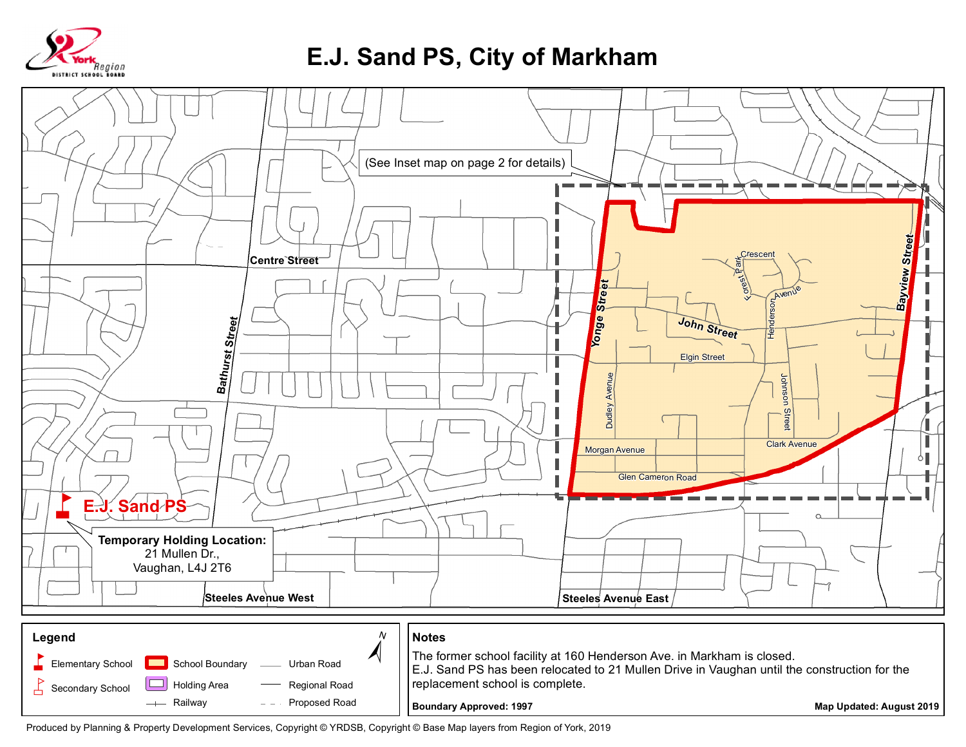

## **E.J. Sand PS, City of Markham**



Produced by Planning & Property Development Services, Copyright © YRDSB, Copyright © Base Map layers from Region of York, 2019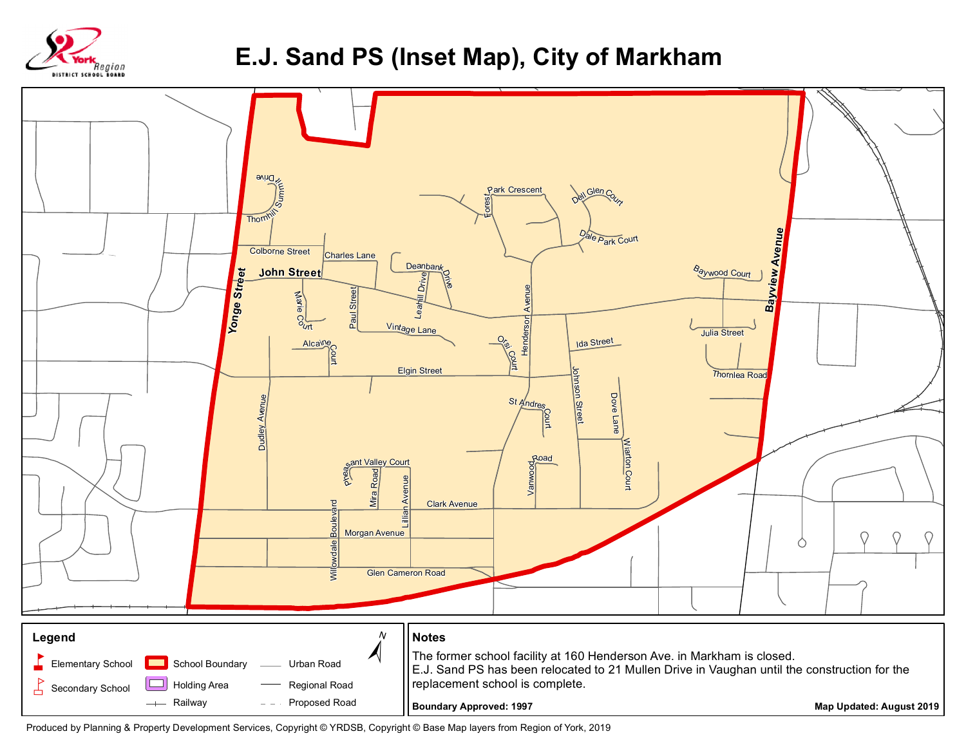

## **E.J. Sand PS (Inset Map), City of Markham**



Produced by Planning & Property Development Services, Copyright © YRDSB, Copyright © Base Map layers from Region of York, 2019